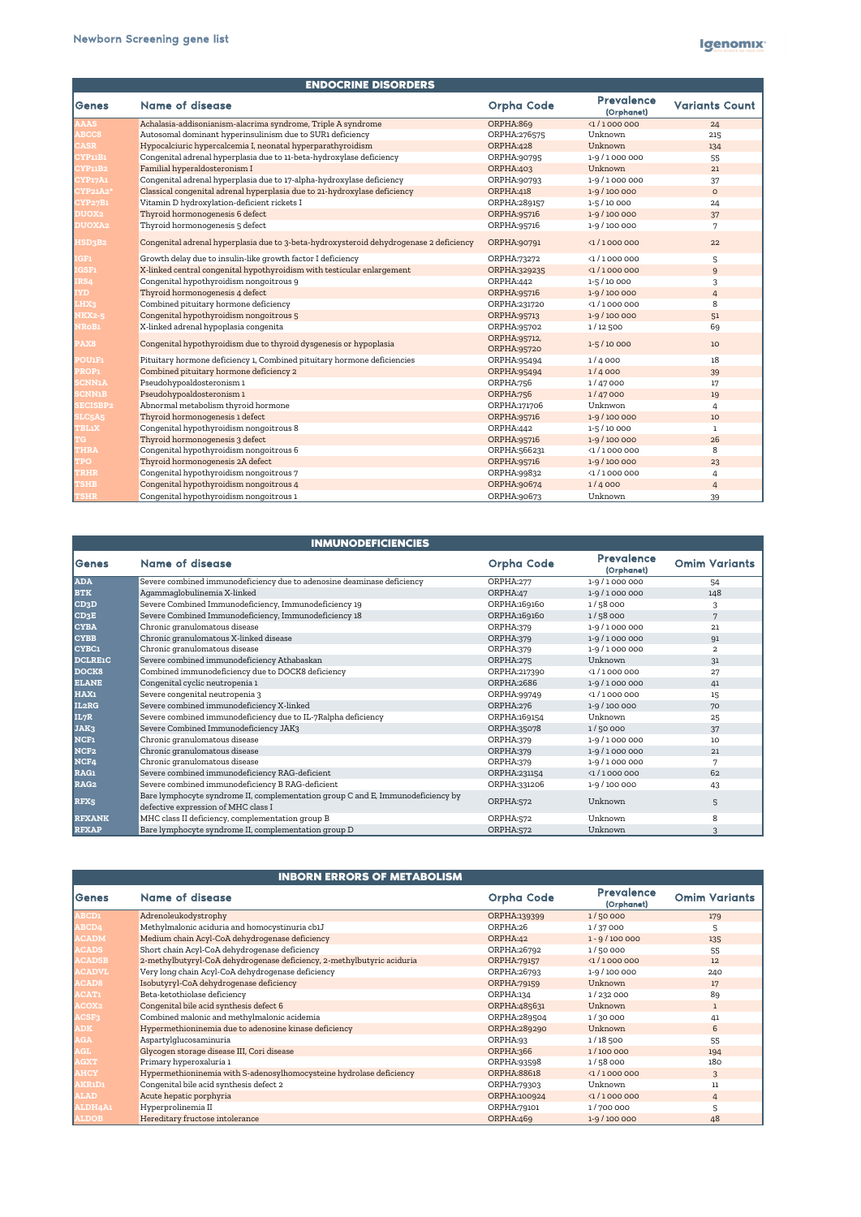| <b>ENDOCRINE DISORDERS</b> |                                                                                        |                             |                                 |                       |  |
|----------------------------|----------------------------------------------------------------------------------------|-----------------------------|---------------------------------|-----------------------|--|
| Genes                      | <b>Name of disease</b>                                                                 | <b>Orpha Code</b>           | <b>Prevalence</b><br>(Orphanet) | <b>Variants Count</b> |  |
| <b>AAAS</b>                | Achalasia-addisonianism-alacrima syndrome, Triple A syndrome                           | ORPHA:869                   | $\langle 1 / 1000000$           | 24                    |  |
| <b>ABCC8</b>               | Autosomal dominant hyperinsulinism due to SUR1 deficiency                              | ORPHA:276575                | Unknown                         | 215                   |  |
| <b>CASR</b>                | Hypocalciuric hypercalcemia I, neonatal hyperparathyroidism                            | ORPHA:428                   | Unknown                         | 134                   |  |
| <b>CYP11B1</b>             | Congenital adrenal hyperplasia due to 11-beta-hydroxylase deficiency                   | ORPHA:90795                 | 1-9/1000000                     | 55                    |  |
| <b>CYP11B2</b>             | Familial hyperaldosteronism I                                                          | <b>ORPHA:403</b>            | Unknown                         | 21                    |  |
| <b>CYP17A1</b>             | Congenital adrenal hyperplasia due to 17-alpha-hydroxylase deficiency                  | ORPHA:90793                 | 1-9/1000000                     | 37                    |  |
| <b>CYP21A2*</b>            | Classical congenital adrenal hyperplasia due to 21-hydroxylase deficiency              | ORPHA:418                   | 1-9 / 100 000                   | $\circ$               |  |
| <b>CYP27B1</b>             | Vitamin D hydroxylation-deficient rickets I                                            | ORPHA:289157                | $1 - 5/10000$                   | 24                    |  |
| <b>DUOX2</b>               | Thyroid hormonogenesis 6 defect                                                        | ORPHA:95716                 | 1-9 / 100 000                   | 37                    |  |
| <b>DUOXA2</b>              | Thyroid hormonogenesis 5 defect                                                        | ORPHA:95716                 | 1-9 / 100 000                   | 7                     |  |
| HSD3B2                     | Congenital adrenal hyperplasia due to 3-beta-hydroxysteroid dehydrogenase 2 deficiency | ORPHA:90791                 | $\langle 1/1000000$             | 22                    |  |
| <b>IGF1</b>                | Growth delay due to insulin-like growth factor I deficiency                            | ORPHA:73272                 | $\langle 1 / 1000000$           | 5                     |  |
| IGSF1                      | X-linked central congenital hypothyroidism with testicular enlargement                 | ORPHA:329235                | $\langle 1 / 1000000$           | 9                     |  |
| IRS4                       | Congenital hypothyroidism nongoitrous 9                                                | ORPHA:442                   | 1-5 / 10 000                    | 3                     |  |
| <b>IYD</b>                 | Thyroid hormonogenesis 4 defect                                                        | ORPHA:95716                 | 1-9 / 100 000                   | $\overline{4}$        |  |
| LHX3                       | Combined pituitary hormone deficiency                                                  | ORPHA:231720                | $\langle 1 / 1000000$           | 8                     |  |
| <b>NKX2-5</b>              | Congenital hypothyroidism nongoitrous 5                                                | ORPHA:95713                 | $1-9/100000$                    | 51                    |  |
| <b>NRoB1</b>               | X-linked adrenal hypoplasia congenita                                                  | ORPHA:95702                 | 1/12 500                        | 69                    |  |
| PAX8                       | Congenital hypothyroidism due to thyroid dysgenesis or hypoplasia                      | ORPHA:95712,<br>ORPHA:95720 | $1-5/10000$                     | 10                    |  |
| <b>POU1F1</b>              | Pituitary hormone deficiency 1, Combined pituitary hormone deficiencies                | ORPHA:95494                 | 1/4000                          | 18                    |  |
| PROP1                      | Combined pituitary hormone deficiency 2                                                | ORPHA:95494                 | 1/4000                          | 39                    |  |
| <b>SCNN1A</b>              | Pseudohypoaldosteronism 1                                                              | ORPHA:756                   | 1/47000                         | 17                    |  |
| <b>SCNN1B</b>              | Pseudohypoaldosteronism 1                                                              | ORPHA:756                   | 1/47000                         | 19                    |  |
| <b>SECISBP2</b>            | Abnormal metabolism thyroid hormone                                                    | ORPHA:171706                | Unknwon                         | 4                     |  |
| <b>SLC5A5</b>              | Thyroid hormonogenesis 1 defect                                                        | ORPHA:95716                 | 1-9 / 100 000                   | 10                    |  |
| <b>TBL1X</b>               | Congenital hypothyroidism nongoitrous 8                                                | ORPHA:442                   | 1-5 / 10 000                    | $\mathbf{1}$          |  |
|                            | Thyroid hormonogenesis 3 defect                                                        | ORPHA:95716                 | 1-9 / 100 000                   | 26                    |  |
| <b>THRA</b>                | Congenital hypothyroidism nongoitrous 6                                                | ORPHA:566231                | $\langle 1 / 1000000$           | 8                     |  |
| <b>TPO</b>                 | Thyroid hormonogenesis 2A defect                                                       | ORPHA:95716                 | 1-9 / 100 000                   | 23                    |  |
| TRHR                       | Congenital hypothyroidism nongoitrous 7                                                | ORPHA:99832                 | $\langle 1 / 1000000$           | 4                     |  |
| <b>TSHB</b>                | Congenital hypothyroidism nongoitrous 4                                                | ORPHA:90674                 | 1/4000                          | 4                     |  |
| <b>TSHR</b>                | Congenital hypothyroidism nongoitrous 1                                                | ORPHA:90673                 | Unknown                         | 39                    |  |

|                    | <b>INMUNODEFICIENCIES</b>                                                                                              |                   |                                 |                      |
|--------------------|------------------------------------------------------------------------------------------------------------------------|-------------------|---------------------------------|----------------------|
| Genes              | <b>Name of disease</b>                                                                                                 | <b>Orpha Code</b> | <b>Prevalence</b><br>(Orphanet) | <b>Omim Variants</b> |
| <b>ADA</b>         | Severe combined immunodeficiency due to adenosine deaminase deficiency                                                 | ORPHA:277         | 1-9/1000000                     | 54                   |
| <b>BTK</b>         | Agammaglobulinemia X-linked                                                                                            | ORPHA:47          | 1-9/1000000                     | 148                  |
| CD3D               | Severe Combined Immunodeficiency, Immunodeficiency 19                                                                  | ORPHA:169160      | 1/58000                         | 3                    |
| CD3E               | Severe Combined Immunodeficiency, Immunodeficiency 18                                                                  | ORPHA:169160      | 1/58000                         | 7                    |
| <b>CYBA</b>        | Chronic granulomatous disease                                                                                          | ORPHA:379         | 1-9/1000000                     | 21                   |
| <b>CYBB</b>        | Chronic granulomatous X-linked disease                                                                                 | ORPHA:379         | 1-9/1000000                     | 91                   |
| <b>CYBC1</b>       | Chronic granulomatous disease                                                                                          | ORPHA:379         | 1-9/1000000                     | $\overline{2}$       |
| <b>DCLRE1C</b>     | Severe combined immunodeficiency Athabaskan                                                                            | ORPHA:275         | Unknown                         | 31                   |
| DOCK8              | Combined immunodeficiency due to DOCK8 deficiency                                                                      | ORPHA:217390      | $\langle 1/1000000$             | 27                   |
| <b>ELANE</b>       | Congenital cyclic neutropenia 1                                                                                        | <b>ORPHA:2686</b> | 1-9/1000000                     | 41                   |
| HAX1               | Severe congenital neutropenia 3                                                                                        | ORPHA:99749       | $\langle 1/1000000$             | 15                   |
| IL <sub>2</sub> RG | Severe combined immunodeficiency X-linked                                                                              | ORPHA:276         | 1-9/100 000                     | 70                   |
| IL7R               | Severe combined immunodeficiency due to IL-7Ralpha deficiency                                                          | ORPHA:169154      | Unknown                         | 25                   |
| JAK3               | Severe Combined Immunodeficiency JAK3                                                                                  | ORPHA:35078       | 1/50 000                        | 37                   |
| <b>NCF1</b>        | Chronic granulomatous disease                                                                                          | ORPHA:379         | 1-9/1000000                     | 10                   |
| NCF <sub>2</sub>   | Chronic granulomatous disease                                                                                          | ORPHA:379         | 1-9/1000000                     | 21                   |
| NCF4               | Chronic granulomatous disease                                                                                          | ORPHA:379         | 1-9/1000000                     | 7                    |
| <b>RAG1</b>        | Severe combined immunodeficiency RAG-deficient                                                                         | ORPHA:231154      | $\langle 1/1000000$             | 62                   |
| RAG <sub>2</sub>   | Severe combined immunodeficiency B RAG-deficient                                                                       | ORPHA:331206      | 1-9 / 100 000                   | 43                   |
| RFX <sub>5</sub>   | Bare lymphocyte syndrome II, complementation group C and E, Immunodeficiency by<br>defective expression of MHC class I | ORPHA:572         | Unknown                         | 5                    |
| <b>RFXANK</b>      | MHC class II deficiency, complementation group B                                                                       | ORPHA:572         | Unknown                         | 8                    |
| <b>RFXAP</b>       | Bare lymphocyte syndrome II, complementation group D                                                                   | ORPHA:572         | Unknown                         | 3                    |

|                   | <b>INBORN ERRORS OF METABOLISM</b>                                     |                    |                                 |                      |
|-------------------|------------------------------------------------------------------------|--------------------|---------------------------------|----------------------|
| <b>Genes</b>      | Name of disease                                                        | <b>Orpha Code</b>  | <b>Prevalence</b><br>(Orphanet) | <b>Omim Variants</b> |
| <b>ABCD1</b>      | Adrenoleukodystrophy                                                   | ORPHA:139399       | 1/50 000                        | 179                  |
| ABCD4             | Methylmalonic aciduria and homocystinuria cb1J                         | ORPHA:26           | 1/37000                         | 5                    |
| <b>ACADM</b>      | Medium chain Acyl-CoA dehydrogenase deficiency                         | ORPHA:42           | $1 - 9/100000$                  | 135                  |
| <b>ACADS</b>      | Short chain Acyl-CoA dehydrogenase deficiency                          | ORPHA:26792        | 1/50 000                        | 55                   |
| <b>ACADSB</b>     | 2-methylbutyryl-CoA dehydrogenase deficiency, 2-methylbutyric aciduria | <b>ORPHA:79157</b> | $\langle 1 / 1000000$           | $12 \overline{ }$    |
| <b>ACADVL</b>     | Very long chain Acyl-CoA dehydrogenase deficiency                      | ORPHA:26793        | 1-9 / 100 000                   | 240                  |
| <b>ACAD8</b>      | Isobutyryl-CoA dehydrogenase deficiency                                | <b>ORPHA:79159</b> | Unknown                         | 17                   |
| <b>ACAT1</b>      | Beta-ketothiolase deficiency                                           | ORPHA:134          | 1/232 000                       | 89                   |
| <b>ACOX2</b>      | Congenital bile acid synthesis defect 6                                | ORPHA:485631       | Unknown                         | $\mathbf{1}$         |
| ACSF <sub>3</sub> | Combined malonic and methylmalonic acidemia                            | ORPHA:289504       | 1/30 000                        | 41                   |
| <b>ADK</b>        | Hypermethioninemia due to adenosine kinase deficiency                  | ORPHA:289290       | Unknown                         | 6                    |
| <b>AGA</b>        | Aspartylglucosaminuria                                                 | ORPHA:93           | 1/18 500                        | 55                   |
| <b>AGL</b>        | Glycogen storage disease III, Cori disease                             | ORPHA:366          | 1/100 000                       | 194                  |
| <b>AGXT</b>       | Primary hyperoxaluria 1                                                | ORPHA:93598        | 1/58000                         | 180                  |
| <b>AHCY</b>       | Hypermethioninemia with S-adenosylhomocysteine hydrolase deficiency    | <b>ORPHA:88618</b> | $\langle 1 / 1000000$           | 3                    |
| <b>AKR1D1</b>     | Congenital bile acid synthesis defect 2                                | ORPHA:79303        | Unknown                         | 11                   |
| <b>ALAD</b>       | Acute hepatic porphyria                                                | ORPHA:100924       | $\langle 1 / 1000000$           | 4                    |
| ALDH4A1           | Hyperprolinemia II                                                     | ORPHA:79101        | 1/700 000                       | 5                    |
| <b>ALDOB</b>      | Hereditary fructose intolerance                                        | ORPHA:469          | 1-9 / 100 000                   | 48                   |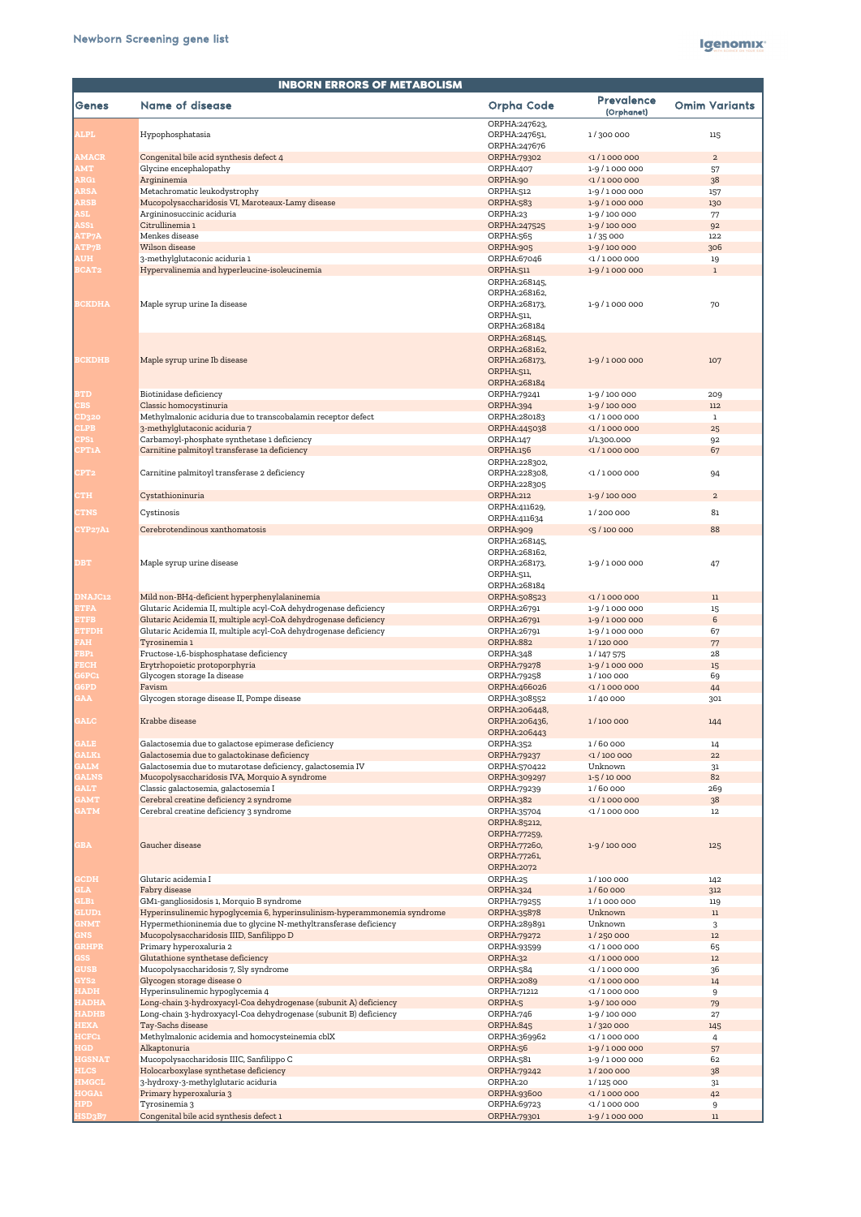| <b>INBORN ERRORS OF METABOLISM</b> |                                                                                                                      |                                                                               |                                 |                      |
|------------------------------------|----------------------------------------------------------------------------------------------------------------------|-------------------------------------------------------------------------------|---------------------------------|----------------------|
| Genes                              | <b>Name of disease</b>                                                                                               | <b>Orpha Code</b>                                                             | <b>Prevalence</b><br>(Orphanet) | <b>Omim Variants</b> |
| <b>ALPL</b>                        | Hypophosphatasia                                                                                                     | ORPHA:247623,<br>ORPHA:247651,<br>ORPHA:247676                                | 1/300 000                       | 115                  |
| <b>AMACR</b>                       | Congenital bile acid synthesis defect 4                                                                              | ORPHA:79302                                                                   | $\langle 1 / 1000000$           | 2                    |
| <b>AMT</b>                         | Glycine encephalopathy                                                                                               | ORPHA:407                                                                     | 1-9/1000000                     | 57                   |
| ARG1                               | Argininemia                                                                                                          | ORPHA:90                                                                      | $\langle 1/1000000$             | 38                   |
| <b>ARSA</b>                        | Metachromatic leukodystrophy                                                                                         | ORPHA:512                                                                     | 1-9/1000000                     | 157                  |
| <b>ARSB</b>                        | Mucopolysaccharidosis VI, Maroteaux-Lamy disease                                                                     | ORPHA:583                                                                     | 1-9/1000000                     | 130                  |
| <b>ASL</b>                         | Argininosuccinic aciduria                                                                                            | ORPHA:23                                                                      | 1-9 / 100 000                   | 77                   |
| ASS1                               | Citrullinemia 1                                                                                                      | ORPHA:247525                                                                  | 1-9 / 100 000                   | 92                   |
| <b>ATP7A</b>                       | Menkes disease                                                                                                       | ORPHA:565                                                                     | 1/35000                         | 122                  |
| <b>ATP7B</b>                       | Wilson disease                                                                                                       | ORPHA:905                                                                     | 1-9 / 100 000                   | 306                  |
| <b>AUH</b>                         | 3-methylglutaconic aciduria 1                                                                                        | ORPHA:67046                                                                   | $\langle 1 / 1000000$           | 19                   |
| <b>BCAT2</b>                       | Hypervalinemia and hyperleucine-isoleucinemia                                                                        | ORPHA:511                                                                     | 1-9/1000000                     | $\mathbf{1}$         |
|                                    |                                                                                                                      | ORPHA:268145,                                                                 |                                 |                      |
| <b>BCKDHA</b>                      | Maple syrup urine Ia disease                                                                                         | ORPHA:268162,<br>ORPHA:268173,<br>ORPHA:511,<br>ORPHA:268184                  | 1-9/1000000                     | 70                   |
| <b>BCKDHB</b>                      | Maple syrup urine Ib disease                                                                                         | ORPHA:268145,<br>ORPHA:268162,<br>ORPHA:268173,<br>ORPHA:511,<br>ORPHA:268184 | 1-9/1000000                     | 107                  |
| <b>BTD</b>                         | Biotinidase deficiency                                                                                               | ORPHA:79241                                                                   | 1-9 / 100 000                   | 209                  |
| <b>CBS</b>                         | Classic homocystinuria                                                                                               | ORPHA:394                                                                     | 1-9 / 100 000                   | 112                  |
| CD320                              | Methylmalonic aciduria due to transcobalamin receptor defect                                                         | ORPHA:280183                                                                  | $\langle 1 / 1000000$           | 1                    |
| <b>CLPB</b>                        | 3-methylglutaconic aciduria 7                                                                                        | ORPHA:445038                                                                  | $\langle$ 1 / 1 000 000         | 25                   |
| <b>CPS1</b>                        | Carbamoyl-phosphate synthetase 1 deficiency                                                                          | ORPHA:147                                                                     | 1/1.300.000                     | 92                   |
| <b>CPT1A</b>                       | Carnitine palmitoyl transferase 1a deficiency                                                                        | <b>ORPHA:156</b>                                                              | $\langle 1 / 1000000$           | 67                   |
| CPT <sub>2</sub>                   | Carnitine palmitoyl transferase 2 deficiency                                                                         | ORPHA:228302,<br>ORPHA:228308,                                                | $\langle 1 / 1000000$           | 94                   |
| <b>CTH</b>                         | Cystathioninuria                                                                                                     | ORPHA:228305<br><b>ORPHA:212</b>                                              | 1-9 / 100 000                   | $\overline{a}$       |
|                                    |                                                                                                                      | ORPHA:411629,                                                                 |                                 |                      |
| <b>CTNS</b>                        | Cystinosis                                                                                                           | ORPHA:411634                                                                  | 1/200 000                       | 81                   |
| <b>CYP27A1</b>                     | Cerebrotendinous xanthomatosis                                                                                       | ORPHA:909                                                                     | <5 / 100 000                    | 88                   |
|                                    |                                                                                                                      | ORPHA: 268145,                                                                |                                 |                      |
|                                    |                                                                                                                      | ORPHA:268162,                                                                 |                                 |                      |
| <b>DBT</b>                         | Maple syrup urine disease                                                                                            | ORPHA:268173,<br>ORPHA:511,                                                   | 1-9/1000000                     | 47                   |
|                                    |                                                                                                                      | ORPHA:268184                                                                  |                                 |                      |
| <b>DNAJC12</b>                     | Mild non-BH4-deficient hyperphenylalaninemia                                                                         | ORPHA:508523                                                                  | $\langle 1 / 1000000$           | 11                   |
| <b>ETFA</b>                        | Glutaric Acidemia II, multiple acyl-CoA dehydrogenase deficiency                                                     | ORPHA:26791                                                                   | 1-9/1000000                     | 15                   |
| <b>ETFB</b>                        | Glutaric Acidemia II, multiple acyl-CoA dehydrogenase deficiency                                                     | ORPHA:26791                                                                   | 1-9/1000000                     | 6                    |
| <b>ETFDH</b>                       | Glutaric Acidemia II, multiple acyl-CoA dehydrogenase deficiency                                                     | ORPHA:26791                                                                   | 1-9/1000000                     | 67                   |
| <b>FAH</b>                         | Tyrosinemia 1                                                                                                        | ORPHA:882                                                                     | 1/120 000                       | 77                   |
| FBP1                               | Fructose-1,6-bisphosphatase deficiency                                                                               | ORPHA:348                                                                     | 1/147575                        | 28                   |
| <b>FECH</b>                        | Erytrhopoietic protoporphyria                                                                                        | ORPHA: 79278                                                                  | 1-9/1000000                     | 15                   |
| G6PC1                              | Glycogen storage Ia disease                                                                                          | ORPHA:79258                                                                   | 1/100 000                       | 69                   |
| G6PD                               | Favism                                                                                                               | ORPHA:466026                                                                  | $\langle 1 / 1000000$           | 44                   |
| <b>GAA</b>                         | Glycogen storage disease II, Pompe disease                                                                           | ORPHA:308552                                                                  | 1/40 000                        | 301                  |
| <b>GALC</b>                        | Krabbe disease                                                                                                       | ORPHA:206448,<br>ORPHA:206436,                                                | 1/100 000                       | 144                  |
|                                    |                                                                                                                      | ORPHA:206443                                                                  |                                 |                      |
| <b>GALE</b>                        | Galactosemia due to galactose epimerase deficiency                                                                   | ORPHA:352                                                                     | 1/60 000                        | 14                   |
| <b>GALK1</b>                       | Galactosemia due to galactokinase deficiency                                                                         | ORPHA:79237                                                                   | $\langle$ 1/100 000             | 22                   |
| <b>GALM</b>                        | Galactosemia due to mutarotase deficiency, galactosemia IV                                                           | ORPHA:570422                                                                  | Unknown                         | 31                   |
| <b>GALNS</b>                       | Mucopolysaccharidosis IVA, Morquio A syndrome                                                                        | ORPHA:309297                                                                  | $1 - 5/10000$                   | 82                   |
| <b>GALT</b>                        | Classic galactosemia, galactosemia I                                                                                 | ORPHA:79239                                                                   | 1/60 000                        | 269                  |
| <b>GAMT</b>                        | Cerebral creatine deficiency 2 syndrome                                                                              | ORPHA:382                                                                     | $\langle 1 / 1000000$           | 38                   |
| <b>GATM</b>                        | Cerebral creatine deficiency 3 syndrome                                                                              | ORPHA:35704                                                                   | $\langle 1 / 1000000$           | $12 \,$              |
|                                    |                                                                                                                      | ORPHA:85212,<br><b>ORPHA:77259,</b>                                           |                                 |                      |
| <b>GBA</b>                         | Gaucher disease                                                                                                      | ORPHA:77260,<br>ORPHA:77261,                                                  | 1-9 / 100 000                   | 125                  |
| <b>GCDH</b>                        | Glutaric acidemia I                                                                                                  | <b>ORPHA:2072</b><br>ORPHA:25                                                 |                                 |                      |
| <b>GLA</b>                         | Fabry disease                                                                                                        | ORPHA:324                                                                     | 1/100 000<br>1/60 000           | 142                  |
|                                    |                                                                                                                      |                                                                               |                                 | 312                  |
| <b>GLB1</b><br><b>GLUD1</b>        | GM1-gangliosidosis 1, Morquio B syndrome<br>Hyperinsulinemic hypoglycemia 6, hyperinsulinism-hyperammonemia syndrome | ORPHA:79255<br>ORPHA:35878                                                    | 1/1000 000<br>Unknown           | 119                  |
|                                    |                                                                                                                      |                                                                               |                                 | 11                   |
| <b>GNMT</b>                        | Hypermethioninemia due to glycine N-methyltransferase deficiency                                                     | ORPHA:289891                                                                  | Unknown                         | 3                    |
| <b>GNS</b>                         | Mucopolysaccharidosis IIID, Sanfilippo D                                                                             | ORPHA:79272                                                                   | 1/250 000                       | 12                   |
| <b>GRHPR</b>                       | Primary hyperoxaluria 2                                                                                              | ORPHA:93599                                                                   | $\langle 1 / 1000000$           | 65                   |
| <b>GSS</b>                         | Glutathione synthetase deficiency                                                                                    | ORPHA:32                                                                      | $\langle 1 / 1000000$           | 12                   |
| <b>GUSB</b>                        | Mucopolysaccharidosis 7, Sly syndrome                                                                                | ORPHA:584                                                                     | $\langle 1 / 1000000$           | 36                   |
| GYS <sub>2</sub>                   | Glycogen storage disease O                                                                                           | <b>ORPHA:2089</b>                                                             | $\langle 1 / 1000000$           | 14                   |
| <b>HADH</b>                        | Hyperinsulinemic hypoglycemia 4                                                                                      | ORPHA:71212                                                                   | $\langle 1 / 1000000$           | 9                    |
| <b>HADHA</b>                       | Long-chain 3-hydroxyacyl-Coa dehydrogenase (subunit A) deficiency                                                    | ORPHA:5                                                                       | 1-9 / 100 000                   | 79                   |
| <b>HADHB</b>                       | Long-chain 3-hydroxyacyl-Coa dehydrogenase (subunit B) deficiency                                                    | ORPHA:746                                                                     | 1-9 / 100 000                   | 27                   |
| <b>HEXA</b>                        | Tay-Sachs disease                                                                                                    | ORPHA:845                                                                     | 1/320 000                       | 145                  |
| <b>HCFC1</b>                       | Methylmalonic acidemia and homocysteinemia cblX                                                                      | ORPHA:369962                                                                  | $\langle 1 / 1000000$           | 4                    |
| <b>HGD</b>                         | Alkaptonuria                                                                                                         | ORPHA:56                                                                      | 1-9/1000000                     | 57                   |
| <b>HGSNAT</b>                      | Mucopolysaccharidosis IIIC, Sanfilippo C                                                                             | ORPHA:581                                                                     | 1-9/1000000                     | 62                   |
| <b>HLCS</b>                        | Holocarboxylase synthetase deficiency                                                                                | ORPHA:79242                                                                   | 1/200 000                       | 38                   |
| <b>HMGCL</b>                       | 3-hydroxy-3-methylglutaric aciduria                                                                                  | ORPHA:20                                                                      | 1/125 000                       | 31                   |
| <b>HOGA1</b>                       | Primary hyperoxaluria 3                                                                                              | ORPHA:93600                                                                   | $\langle 1 / 1000000$           | 42                   |
| HPD                                | Tyrosinemia 3                                                                                                        | ORPHA:69723                                                                   | $\langle 1 / 1000000$           | 9                    |
| <b>HSD3B7</b>                      | Congenital bile acid synthesis defect 1                                                                              | ORPHA:79301                                                                   | 1-9/1000000                     | $11\,$               |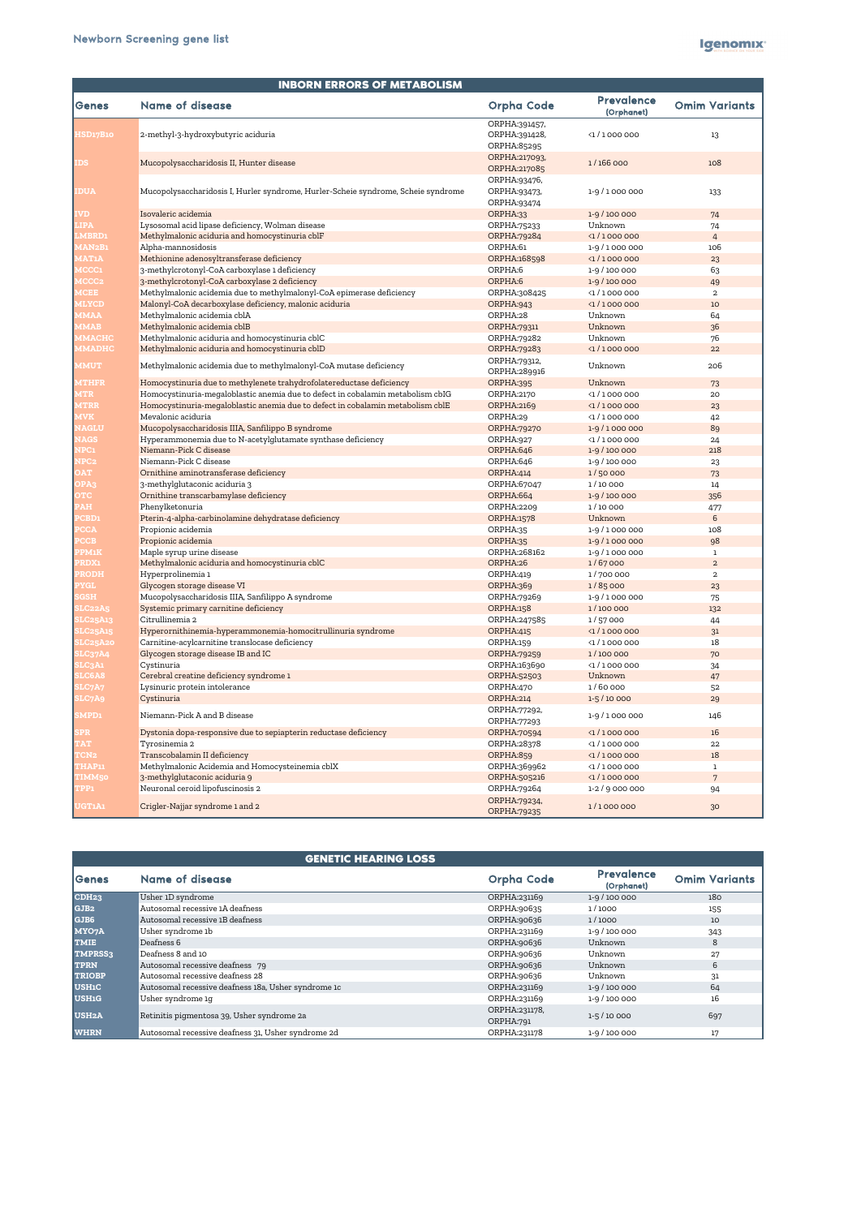| <b>INBORN ERRORS OF METABOLISM</b> |                                                                                   |                                               |                                 |                      |
|------------------------------------|-----------------------------------------------------------------------------------|-----------------------------------------------|---------------------------------|----------------------|
| <b>Senes</b>                       | <b>Name of disease</b>                                                            | <b>Orpha Code</b>                             | <b>Prevalence</b><br>(Orphanet) | <b>Omim Variants</b> |
| HSD17B10                           | 2-methyl-3-hydroxybutyric aciduria                                                | ORPHA:391457,<br>ORPHA:391428,<br>ORPHA:85295 | $\langle 1/1000000$             | 13                   |
| <b>IDS</b>                         | Mucopolysaccharidosis II, Hunter disease                                          | ORPHA:217093,<br>ORPHA:217085                 | 1/166 000                       | 108                  |
| <b>IDUA</b>                        | Mucopolysaccharidosis I, Hurler syndrome, Hurler-Scheie syndrome, Scheie syndrome | ORPHA:93476,<br>ORPHA:93473,<br>ORPHA:93474   | 1-9/1000000                     | 133                  |
| <b>IVD</b>                         | Isovaleric acidemia                                                               | ORPHA:33                                      | 1-9 / 100 000                   | 74                   |
| <b>LIPA</b>                        | Lysosomal acid lipase deficiency, Wolman disease                                  | ORPHA:75233                                   | Unknown                         | 74                   |
| <b>LMBRD1</b>                      | Methylmalonic aciduria and homocystinuria cblF                                    | ORPHA:79284                                   | $\langle 1/1000000$             | $\overline{4}$       |
| MAN2B1                             | Alpha-mannosidosis                                                                | ORPHA:61                                      | 1-9/1000000                     | 106                  |
| <b>MAT1A</b>                       | Methionine adenosyltransferase deficiency                                         | ORPHA:168598                                  | $\langle 1/1000000$             | 23                   |
| <b>MCCC1</b>                       | 3-methylcrotonyl-CoA carboxylase 1 deficiency                                     | ORPHA:6                                       | 1-9 / 100 000                   | 63                   |
| MCCC <sub>2</sub>                  | 3-methylcrotonyl-CoA carboxylase 2 deficiency                                     | ORPHA:6                                       | 1-9 / 100 000                   | 49                   |
| <b>MCEE</b>                        | Methylmalonic acidemia due to methylmalonyl-CoA epimerase deficiency              | ORPHA:308425                                  | $\langle 1 / 1000000$           | $\overline{2}$       |
| <b>MLYCD</b>                       | Malonyl-CoA decarboxylase deficiency, malonic aciduria                            | ORPHA:943                                     | $\langle$ 1 / 1 000 000         | 10                   |
| <b>MMAA</b>                        | Methylmalonic acidemia cblA                                                       | ORPHA:28                                      | Unknown                         | 64                   |
| <b>MMAB</b>                        | Methylmalonic acidemia cblB                                                       | ORPHA:79311                                   | Unknown                         | 36                   |
| <b>MMACHC</b>                      | Methylmalonic aciduria and homocystinuria cblC                                    | ORPHA:79282                                   | Unknown                         | 76                   |
| <b>MMADHC</b>                      | Methylmalonic aciduria and homocystinuria cblD                                    | ORPHA:79283                                   | $\langle 1 / 1000000$           | 22                   |
| <b>MMUT</b>                        | Methylmalonic acidemia due to methylmalonyl-CoA mutase deficiency                 | ORPHA:79312,<br>ORPHA:289916                  | Unknown                         | 206                  |
| <b>MTHFR</b>                       | Homocystinuria due to methylenete trahydrofolatereductase deficiency              | ORPHA:395                                     | Unknown                         | 73                   |
| <b>MTR</b>                         | Homocystinuria-megaloblastic anemia due to defect in cobalamin metabolism cbIG    | ORPHA:2170                                    | $\langle 1/1000000$             | 20                   |
| <b>MTRR</b>                        | Homocystinuria-megaloblastic anemia due to defect in cobalamin metabolism cblE    | <b>ORPHA:2169</b>                             | $\langle$ 1 / 1 000 000         | 23                   |
| <b>MVK</b>                         | Mevalonic aciduria                                                                | ORPHA:29                                      | $\langle 1/1000000$             | 42                   |
| <b>NAGLU</b>                       | Mucopolysaccharidosis IIIA, Sanfilippo B syndrome                                 | <b>ORPHA:79270</b>                            | 1-9/1000000                     | 89                   |
| <b>NAGS</b>                        | Hyperammonemia due to N-acetylglutamate synthase deficiency                       | ORPHA:927                                     | $\langle 1 / 1000000$           | 24                   |
| NPC1                               | Niemann-Pick C disease                                                            | ORPHA:646                                     | 1-9 / 100 000                   | 218                  |
| NPC <sub>2</sub>                   | Niemann-Pick C disease                                                            | ORPHA:646                                     | 1-9 / 100 000                   | 23                   |
| <b>OAT</b>                         | Ornithine aminotransferase deficiency                                             | ORPHA:414                                     | 1/50 000                        | 73                   |
| OPA3                               | 3-methylglutaconic aciduria 3                                                     | ORPHA:67047                                   | 1/10000                         | 14                   |
| <b>OTC</b>                         | Ornithine transcarbamylase deficiency                                             | ORPHA:664                                     | 1-9/100 000                     | 356                  |
| <b>PAH</b>                         | Phenylketonuria                                                                   | ORPHA:2209                                    | 1/10000<br>Unknown              | 477                  |
| <b>PCBD1</b><br><b>PCCA</b>        | Pterin-4-alpha-carbinolamine dehydratase deficiency<br>Propionic acidemia         | <b>ORPHA:1578</b><br>ORPHA:35                 | 1-9/1000000                     | 6<br>108             |
| <b>PCCB</b>                        | Propionic acidemia                                                                | ORPHA:35                                      | 1-9/1000000                     | 98                   |
| <b>PPM1K</b>                       | Maple syrup urine disease                                                         | ORPHA:268162                                  | 1-9/1000000                     | 1                    |
| <b>PRDX1</b>                       | Methylmalonic aciduria and homocystinuria cblC                                    | ORPHA:26                                      | 1/67000                         | $2^{\circ}$          |
| <b>PRODH</b>                       | Hyperprolinemia 1                                                                 | ORPHA:419                                     | 1/700 000                       | $\overline{a}$       |
| <b>PYGL</b>                        | Glycogen storage disease VI                                                       | ORPHA:369                                     | 1/85000                         | 23                   |
| <b>SGSH</b>                        | Mucopolysaccharidosis IIIA, Sanfilippo A syndrome                                 | ORPHA:79269                                   | 1-9/1000000                     | 75                   |
| SLC22A5                            | Systemic primary carnitine deficiency                                             | <b>ORPHA:158</b>                              | 1/100 000                       | 132                  |
| <b>SLC25A13</b>                    | Citrullinemia 2                                                                   | ORPHA:247585                                  | 1/57000                         | 44                   |
| SLC25A15                           | Hyperornithinemia-hyperammonemia-homocitrullinuria syndrome                       | ORPHA:415                                     | $\langle 1 / 1000000$           | 31                   |
| SLC25A20                           | Carnitine-acylcarnitine translocase deficiency                                    | ORPHA:159                                     | $\langle 1 / 1000000$           | 18                   |
| SLC37A4                            | Glycogen storage disease IB and IC                                                | <b>ORPHA:79259</b>                            | 1/100 000                       | 70                   |
| <b>SLC3A1</b>                      | Cystinuria                                                                        | ORPHA:163690                                  | $\langle 1 / 1000000$           | 34                   |
| <b>SLC6A8</b>                      | Cerebral creatine deficiency syndrome 1                                           | ORPHA:52503                                   | Unknown                         | 47                   |
| SLC7A7                             | Lysinuric protein intolerance                                                     | ORPHA:470                                     | 1/60000                         | 52                   |
| <b>SLC7A9</b>                      | Cystinuria                                                                        | <b>ORPHA:214</b>                              | $1 - 5/10000$                   | 29                   |
| <b>SMPD1</b>                       | Niemann-Pick A and B disease                                                      | ORPHA:77292,<br>ORPHA:77293                   | 1-9/1000000                     | 146                  |
| <b>SPR</b>                         | Dystonia dopa-responsive due to sepiapterin reductase deficiency                  | ORPHA:70594                                   | $\langle 1 / 1000000$           | 16                   |
| <b>TAT</b>                         | Tyrosinemia 2                                                                     | ORPHA:28378                                   | $\langle 1/1000000$             | 22                   |
| TCN <sub>2</sub>                   | Transcobalamin II deficiency                                                      | <b>ORPHA:859</b>                              | $\langle 1/1000000$             | 18                   |
| <b>THAP11</b>                      | Methylmalonic Acidemia and Homocysteinemia cblX                                   | ORPHA:369962                                  | $\langle 1 / 1000000$           | 1                    |
| <b>TIMM50</b>                      | 3-methylglutaconic aciduria 9                                                     | ORPHA:505216                                  | $\langle 1/1000000$             | 7                    |
| TPP1                               | Neuronal ceroid lipofuscinosis 2                                                  | ORPHA:79264                                   | $1 - 2 / 9000000$               | 94                   |
| <b>UGT1A1</b>                      | Crigler-Najjar syndrome 1 and 2                                                   | ORPHA:79234,<br>ORPHA:79235                   | 1/1000 000                      | 30 <sub>o</sub>      |

|                    | <b>GENETIC HEARING LOSS</b>                         |                            |                                 |                      |
|--------------------|-----------------------------------------------------|----------------------------|---------------------------------|----------------------|
| Genes              | Name of disease                                     | <b>Orpha Code</b>          | <b>Prevalence</b><br>(Orphanet) | <b>Omim Variants</b> |
| CDH <sub>23</sub>  | Usher 1D syndrome                                   | ORPHA:231169               | 1-9 / 100 000                   | 180                  |
| GJB <sub>2</sub>   | Autosomal recessive 1A deafness                     | ORPHA:90635                | 1/1000                          | 155                  |
| GJB6               | Autosomal recessive 1B deafness                     | ORPHA:90636                | 1/1000                          | 10                   |
| MYO7A              | Usher syndrome 1b                                   | ORPHA:231169               | 1-9 / 100 000                   | 343                  |
| <b>TMIE</b>        | Deafness 6                                          | ORPHA:90636                | Unknown                         | 8                    |
| TMPRSS3            | Deafness 8 and 10                                   | ORPHA:90636                | Unknown                         | 27                   |
| <b>TPRN</b>        | Autosomal recessive deafness 79                     | ORPHA:90636                | Unknown                         | 6                    |
| <b>TRIOBP</b>      | Autosomal recessive deafness 28                     | ORPHA:90636                | Unknown                         | 31                   |
| <b>USH1C</b>       | Autosomal recessive deafness 18a, Usher syndrome 1c | ORPHA:231169               | $1-9/100000$                    | 64                   |
| <b>USH1G</b>       | Usher syndrome 1g                                   | ORPHA:231169               | 1-9 / 100 000                   | 16                   |
| USH <sub>2</sub> A | Retinitis pigmentosa 39, Usher syndrome 2a          | ORPHA:231178,<br>ORPHA:791 | $1 - 5/10000$                   | 697                  |
| <b>WHRN</b>        | Autosomal recessive deafness 31, Usher syndrome 2d  | ORPHA:231178               | $1-9/100000$                    | 17                   |